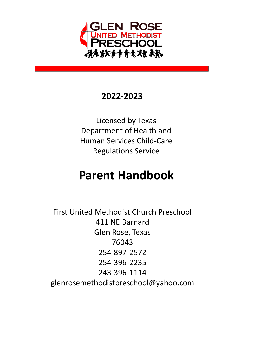

## **2022-2023**

Licensed by Texas Department of Health and Human Services Child-Care Regulations Service

# **Parent Handbook**

First United Methodist Church Preschool 411 NE Barnard Glen Rose, Texas 76043 254-897-2572 254-396-2235 243-396-1114 glenrosemethodistpreschool@yahoo.com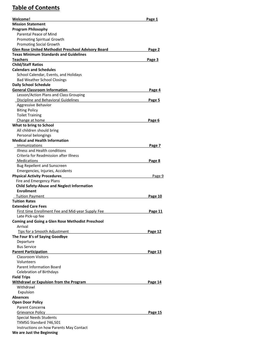### **Table of Contents**

| Welcome!                                                           | Page 1         |
|--------------------------------------------------------------------|----------------|
| <b>Mission Statement</b>                                           |                |
| <b>Program Philosophy</b>                                          |                |
| Parental Peace of Mind                                             |                |
| <b>Promoting Spiritual Growth</b>                                  |                |
| <b>Promoting Social Growth</b>                                     |                |
| <b>Glen Rose United Methodist Preschool Advisory Board</b>         | Page 2         |
| <b>Texas Minimum Standards and Guidelines</b>                      |                |
| <b>Teachers</b>                                                    | Page 3         |
| <b>Child/Staff Ratios</b>                                          |                |
| <b>Calendars and Schedules</b>                                     |                |
| School Calendar, Events, and Holidays                              |                |
| <b>Bad Weather School Closings</b><br><b>Daily School Schedule</b> |                |
| <b>General Classroom Information</b>                               | Page 4         |
| Lesson/Action Plans and Class Grouping                             |                |
| Discipline and Behavioral Guidelines                               | Page 5         |
| Aggressive Behavior                                                |                |
| <b>Biting Policy</b>                                               |                |
| <b>Toilet Training</b>                                             |                |
| Change at home                                                     | Page 6         |
| What to bring to School                                            |                |
| All children should bring                                          |                |
| Personal belongings                                                |                |
| <b>Medical and Health Information</b>                              |                |
| Immunizations                                                      | Page 7         |
| Illness and Health conditions                                      |                |
| Criteria for Readmission after Illness                             |                |
| <b>Medications</b>                                                 | Page 8         |
| <b>Bug Repellent and Sunscreen</b>                                 |                |
| Emergencies, Injuries, Accidents                                   |                |
| <b>Physical Activity Procedures</b><br>Fire and Emergency Plans    | Page 9         |
| <b>Child Safety-Abuse and Neglect Information</b>                  |                |
| <b>Enrollment</b>                                                  |                |
| <b>Tuition Payment</b>                                             | Page 10        |
| <b>Tuition Rates</b>                                               |                |
| <b>Extended Care Fees</b>                                          |                |
| First time Enrollment Fee and Mid-year Supply Fee                  | <u>Page 11</u> |
| Late Pick-up fee                                                   |                |
| <b>Coming and Going a Glen Rose Methodist Preschool</b>            |                |
| Arrival                                                            |                |
| Tips for a Smooth Adjustment                                       | Page 12        |
| The Four B's of Saying Goodbye                                     |                |
| Departure                                                          |                |
| <b>Bus Service</b>                                                 |                |
| <b>Parent Participation</b>                                        | Page 13        |
| <b>Classroom Visitors</b>                                          |                |
| Volunteers<br><b>Parent Information Board</b>                      |                |
| <b>Celebration of Birthdays</b>                                    |                |
| <b>Field Trips</b>                                                 |                |
| <b>Withdrawl or Expulsion from the Program</b>                     | <u>Page 14</u> |
| Withdrawl                                                          |                |
| Expulsion                                                          |                |
| Absences                                                           |                |
| <b>Open Door Policy</b>                                            |                |
| <b>Parent Concerns</b>                                             |                |
| Grievance Policy                                                   | <u>Page 15</u> |
| <b>Special Needs Students</b>                                      |                |
| TXMSG Standard 746,501                                             |                |
| Instructions on how Parents May Contact                            |                |
| We are Just the Beginning                                          |                |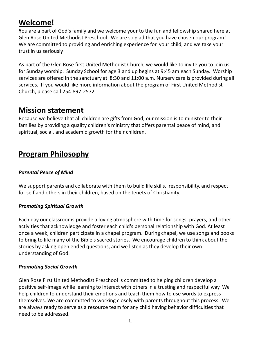# **Welcome!**

**Y**ou are a part of God's family and we welcome your to the fun and fellowship shared here at Glen Rose United Methodist Preschool. We are so glad that you have chosen our program! We are committed to providing and enriching experience for your child, and we take your trust in us seriously!

As part of the Glen Rose first United Methodist Church, we would like to invite you to join us for Sunday worship. Sunday School for age 3 and up begins at 9:45 am each Sunday. Worship services are offered in the sanctuary at 8:30 and 11:00 a.m. Nursery care is provided during all services. If you would like more information about the program of First United Methodist Church, please call 254-897-2572

### **Mission statement**

Because we believe that all children are gifts from God, our mission is to minister to their families by providing a quality children's ministry that offers parental peace of mind, and spiritual, social, and academic growth for their children.

# **Program Philosophy**

### *Parental Peace of Mind*

We support parents and collaborate with them to build life skills, responsibility, and respect for self and others in their children, based on the tenets of Christianity.

### *Promoting Spiritual Growth*

Each day our classrooms provide a loving atmosphere with time for songs, prayers, and other activities that acknowledge and foster each child's personal relationship with God. At least once a week, children participate in a chapel program. During chapel, we use songs and books to bring to life many of the Bible's sacred stories. We encourage children to think about the stories by asking open ended questions, and we listen as they develop their own understanding of God.

### *Promoting Social Growth*

Glen Rose First United Methodist Preschool is committed to helping children develop a positive self-image while learning to interact with others in a trusting and respectful way. We help children to understand their emotions and teach them how to use words to express themselves. We are committed to working closely with parents throughout this process. We are always ready to serve as a resource team for any child having behavior difficulties that need to be addressed.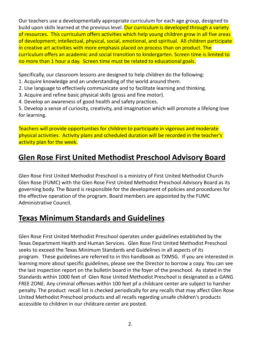Our teachers use a developmentally appropriate curriculum for each age group, designed to build upon skills learned at the previous level. Our curriculum is developed through a variety of resources. This curriculum offers activities which help young children grow in all five areas of development; intellectual, physical, social, emotional, and spiritual. All children participate in creative art activities with more emphasis placed on process than on product. The curriculum offers an academic and social transition to kindergarten. Screen time is limited to no more than 1 hour a day. Screen time must be related to educational goals.

Specifically, our classroom lessons are designed to help children do the following:

- 1. Acquire knowledge and an understanding of the world around them.
- 2. Use language to effectively communicate and to facilitate learning and thinking.
- 3. Acquire and refine basic physical skills (gross and fine motor).
- 4. Develop an awareness of good health and safety practices.

5. Develop a sense of curiosity, creativity, and imagination which will promote a lifelong love for learning.

Teachers will provide opportunities for children to participate in vigorous and moderate physical activities. Activity plans and scheduled duration will be recorded in the teacher's activity plan for the week.

# **Glen Rose First United Methodist Preschool Advisory Board**

Glen Rose First United Methodist Preschool is a ministry of First United Methodist Church-Glen Rose (FUMC) with the Glen Rose First United Methodist Preschool Advisory Board as its governing body. The Board is responsible for the development of policies and procedures for the effective operation of the program. Board members are appointed by the FUMC Administrative Council.

# **Texas Minimum Standards and Guidelines**

Glen Rose First United Methodist Preschool operates under guidelines established by the Texas Department Health and Human Services. Glen Rose First United Methodist Preschool seeks to exceed the Texas Minimum Standards and Guidelines in all aspects of its program. These guidelines are referred to in this handbook as TXMSG. If you are interested in learning more about specific guidelines, please see the Director to borrow a copy. You can see the last inspection report on the bulletin board in the foyer of the preschool. As stated in the Standards within 1000 feet of Glen Rose United Methodist Preschool is designated as a GANG FREE ZONE. Any criminal offenses within 100 feet pf a childcare center are subject to harsher penalty. The product recall list is checked periodically for any recalls that may affect Glen Rose United Methodist Preschool products and all recalls regarding unsafe children's products accessible to children in our childcare center are posted.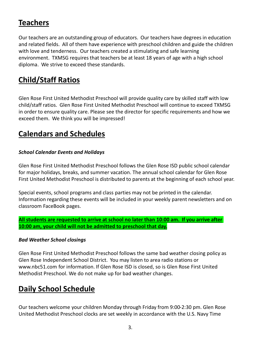# **Teachers**

Our teachers are an outstanding group of educators. Our teachers have degrees in education and related fields. All of them have experience with preschool children and guide the children with love and tenderness. Our teachers created a stimulating and safe learning environment. TXMSG requires that teachers be at least 18 years of age with a high school diploma. We strive to exceed these standards.

# **Child/Staff Ratios**

Glen Rose First United Methodist Preschool will provide quality care by skilled staff with low child/staff ratios. Glen Rose First United Methodist Preschool will continue to exceed TXMSG in order to ensure quality care. Please see the director for specific requirements and how we exceed them. We think you will be impressed!

### **Calendars and Schedules**

### *School Calendar Events and Holidays*

Glen Rose First United Methodist Preschool follows the Glen Rose ISD public school calendar for major holidays, breaks, and summer vacation. The annual school calendar for Glen Rose First United Methodist Preschool is distributed to parents at the beginning of each school year.

Special events, school programs and class parties may not be printed in the calendar. Information regarding these events will be included in your weekly parent newsletters and on classroom FaceBook pages.

**All students are requested to arrive at school no later than 10:00 am. If you arrive after 10:00 am, your child will not be admitted to preschool that day.**

### *Bad Weather School closings*

Glen Rose First United Methodist Preschool follows the same bad weather closing policy as Glen Rose Independent School District. You may listen to area radio stations or www.nbc51.com for information. If Glen Rose ISD is closed, so is Glen Rose First United Methodist Preschool. We do not make up for bad weather changes.

### **Daily School Schedule**

Our teachers welcome your children Monday through Friday from 9:00-2:30 pm. Glen Rose United Methodist Preschool clocks are set weekly in accordance with the U.S. Navy Time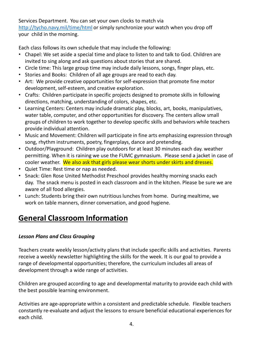Services Department. You can set your own clocks to match via <http://tycho.navy.mil/time/html> or simply synchronize your watch when you drop off your child in the morning.

Each class follows its own schedule that may include the following:

- Chapel: We set aside a special time and place to listen to and talk to God. Children are invited to sing along and ask questions about stories that are shared.
- Circle time: This large group time may include daily lessons, songs, finger plays, etc.
- Stories and Books: Children of all age groups are read to each day.
- Art: We provide creative opportunities for self-expression that promote fine motor development, self-esteem, and creative exploration.
- Crafts: Children participate in specific projects designed to promote skills in following directions, matching, understanding of colors, shapes, etc.
- Learning Centers: Centers may include dramatic play, blocks, art, books, manipulatives, water table, computer, and other opportunities for discovery. The centers allow small groups of children to work together to develop specific skills and behaviors while teachers provide individual attention.
- Music and Movement: Children will participate in fine arts emphasizing expression through song, rhythm instruments, poetry, fingerplays, dance and pretending.
- Outdoor/Playground: Children play outdoors for at least 30 minutes each day. weather permitting. When it is raining we use the FUMC gymnasium. Please send a jacket in case of cooler weather. We also ask that girls please wear shorts under skirts and dresses.
- Quiet Time: Rest time or nap as needed.
- Snack: Glen Rose United Methodist Preschool provides healthy morning snacks each day. The snack menu is posted in each classroom and in the kitchen. Please be sure we are aware of all food allergies.
- Lunch: Students bring their own nutritious lunches from home. During mealtime, we work on table manners, dinner conversation, and good hygiene.

## **General Classroom Information**

### *Lesson Plans and Class Grouping*

Teachers create weekly lesson/activity plans that include specific skills and activities. Parents receive a weekly newsletter highlighting the skills for the week. It is our goal to provide a range of developmental opportunities; therefore, the curriculum includes all areas of development through a wide range of activities.

Children are grouped according to age and developmental maturity to provide each child with the best possible learning environment.

Activities are age-appropriate within a consistent and predictable schedule. Flexible teachers constantly re-evaluate and adjust the lessons to ensure beneficial educational experiences for each child.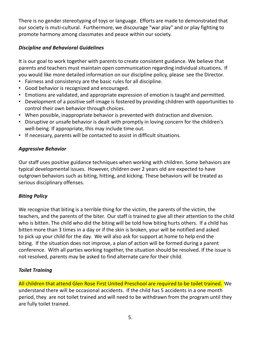There is no gender stereotyping of toys or language. Efforts are made to demonstrated that our society is muti-cultural. Furthermore, we discourage "war play" and or play fighting to promote harmony among classmates and peace within our society.

### *Discipline and Behavioral Guidelines*

It is our goal to work together with parents to create consistent guidance. We believe that parents and teachers must maintain open communication regarding individual situations. If you would like more detailed information on our discipline policy, please see the Director.

- Fairness and consistency are the basic rules for all discipline.
- Good behavior is recognized and encouraged.
- Emotions are validated, and appropriate expression of emotion is taught and permitted.
- Development of a positive self-image is fostered by providing children with opportunities to control their own behavior through choices.
- When possible, inappropriate behavior is prevented with distraction and diversion.
- Disruptive or unsafe behavior is dealt with promptly in loving concern for the children's well-being. If appropriate, this may include time out.
- If necessary, parents will be contacted to assist in difficult situations.

### *Aggressive Behavior*

Our staff uses positive guidance techniques when working with children. Some behaviors are typical developmental issues. However, children over 2 years old are expected to have outgrown behaviors such as biting, hitting, and kicking. These behaviors will be treated as serious disciplinary offenses.

### *Biting Policy*

We recognize that biting is a terrible thing for the victim, the parents of the victim, the teachers, and the parents of the biter. Our staff is trained to give all their attention to the child who is bitten. The child who did the biting will be told how biting hurts others. If a child has bitten more than 3 times in a day or if the skin is broken, your will be notified and asked to pick up your child for the day. We will also ask for support at home to help end the biting. If the situation does not improve, a plan of action will be formed during a parent conference. With all parties working together, the situation should be resolved. If the issue is not resolved, parents may be asked to find alternate care for their child.

### *Toilet Training*

All children that attend Glen Rose First United Preschool are required to be toilet trained. We understand there will be occasional accidents. If the child has 5 accidents in a one month period, they are not toilet trained and will need to be withdrawn from the program until they are fully toilet trained.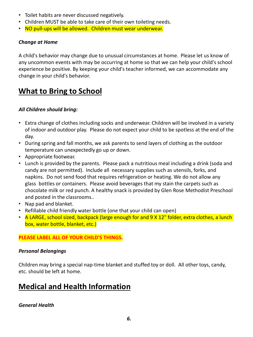- Toilet habits are never discussed negatively.
- Children MUST be able to take care of their own toileting needs.
- NO pull-ups will be allowed. Children must wear underwear.

#### *Change at Home*

A child's behavior may change due to unusual circumstances at home. Please let us know of any uncommon events with may be occurring at home so that we can help your child's school experience be positive. By keeping your child's teacher informed, we can accommodate any change in your child's behavior.

### **What to Bring to School**

### *All Children should bring:*

- Extra change of clothes including socks and underwear. Children will be involved in a variety of indoor and outdoor play. Please do not expect your child to be spotless at the end of the day.
- During spring and fall months, we ask parents to send layers of clothing as the outdoor temperature can unexpectedly go up or down.
- Appropriate footwear.
- Lunch is provided by the parents. Please pack a nutritious meal including a drink (soda and candy are not permitted). Include all necessary supplies such as utensils, forks, and napkins. Do not send food that requires refrigeration or heating. We do not allow any glass bottles or containers. Please avoid beverages that my stain the carpets such as chocolate milk or red punch. A healthy snack is provided by Glen Rose Methodist Preschool and posted in the classrooms..
- Nap pad and blanket.
- Refillable child friendly water bottle (one that your child can open)
- A LARGE, school sized, backpack (large enough for and 9 X 12" folder, extra clothes, a lunch box, water bottle, blanket, etc.)

### **PLEASE LABEL ALL OF YOUR CHILD'S THINGS.**

#### *Personal Belongings*

Children may bring a special nap-time blanket and stuffed toy or doll. All other toys, candy, etc. should be left at home.

### **Medical and Health Information**

### *General Health*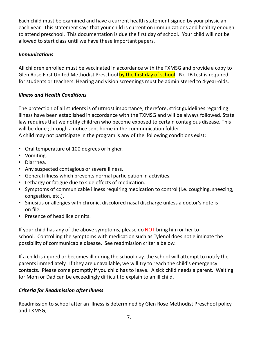Each child must be examined and have a current health statement signed by your physician each year. This statement says that your child is current on immunizations and healthy enough to attend preschool. This documentation is due the first day of school. Your child will not be allowed to start class until we have these important papers.

### *Immunizations*

All children enrolled must be vaccinated in accordance with the TXMSG and provide a copy to Glen Rose First United Methodist Preschool by the first day of school. No TB test is required for students or teachers. Hearing and vision screenings must be administered to 4-year-olds.

### *Illness and Health Conditions*

The protection of all students is of utmost importance; therefore, strict guidelines regarding illness have been established in accordance with the TXMSG and will be always followed. State law requires that we notify children who become exposed to certain contagious disease. This will be done ;through a notice sent home in the communication folder. A child may not participate in the program is any of the following conditions exist:

- Oral temperature of 100 degrees or higher.
- Vomiting.
- Diarrhea.
- Any suspected contagious or severe illness.
- General illness which prevents normal participation in activities.
- Lethargy or fatigue due to side effects of medication.
- Symptoms of communicable illness requiring medication to control (I.e. coughing, sneezing, congestion, etc.).
- Sinusitis or allergies with chronic, discolored nasal discharge unless a doctor's note is on file.
- Presence of head lice or nits.

If your child has any of the above symptoms, please do NOT bring him or her to school. Controlling the symptoms with medication such as Tylenol does not eliminate the possibility of communicable disease. See readmission criteria below.

If a child is injured or becomes ill during the school day, the school will attempt to notify the parents immediately. If they are unavailable, we will try to reach the child's emergency contacts. Please come promptly if you child has to leave. A sick child needs a parent. Waiting for Mom or Dad can be exceedingly difficult to explain to an ill child.

### *Criteria for Readmission after Illness*

Readmission to school after an illness is determined by Glen Rose Methodist Preschool policy and TXMSG,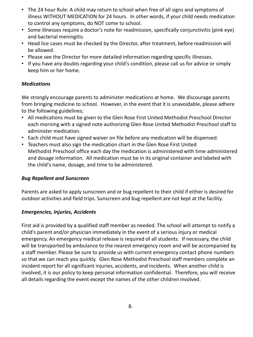- The 24 hour Rule: A child may return to school when free of all signs and symptoms of illness WITHOUT MEDICATION for 24 hours. In other words, if your child needs medication to control any symptoms, do NOT come to school.
- Some illnesses require a doctor's note for readmission, specifically conjunctivitis (pink eye) and bacterial meningitis.
- Head lice cases must be checked by the Director, after treatment, before readmission will be allowed.
- Please see the Director for more detailed information regarding specific illnesses.
- If you have any doubts regarding your child's condition, please call us for advice or simply keep him or her home.

### *Medications*

We strongly encourage parents to administer medications at home. We discourage parents from bringing medicine to school. However, in the event that it is unavoidable, please adhere to the following guidelines;

- All medications must be given to the Glen Rose First United Methodist Preschool Director each morning with a signed note authorizing Glen Rose United Methodist Preschool staff to administer medication.
- Each child must have signed waiver on file before any medication will be dispensed.
- Teachers must also sign the medication chart in the Glen Rose First United Methodist Preschool office each day the medication is administered with time administered and dosage information. All medication must be in its original container and labeled with the child's name, dosage, and time to be administered.

#### *Bug Repellent and Sunscreen*

Parents are asked to apply sunscreen and or bug repellent to their child if either is desired for outdoor activities and field trips. Sunscreen and bug repellent are not kept at the facility.

### *Emergencies, Injuries, Accidents*

First aid is provided by a qualified staff member as needed. The school will attempt to notify a child's parent and/or physician immediately in the event of a serious injury or medical emergency. An emergency medical release is required of all students. If necessary, the child will be transported by ambulance to the nearest emergency room and will be accompanied by a staff member. Please be sure to provide us with current emergency contact phone numbers so that we can reach you quickly. Glen Rose Methodist Preschool staff members complete an incident report for all significant injuries, accidents, and incidents. When another child is involved, it is our policy to keep personal information confidential. Therefore, you will receive all details regarding the event except the names of the other children involved.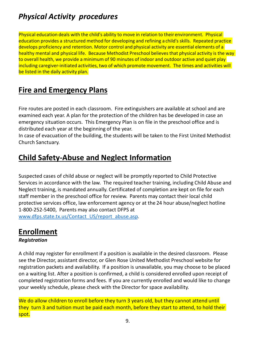# *Physical Activity procedures*

Physical education deals with the child's ability to move in relation to their environment. Physical education provides a structured method for developing and refining a child's skills. Repeated practice develops proficiency and retention. Motor control and physical activity are essential elements of a healthy mental and physical life. Because Methodist Preschool believes that physical activity is the way to overall health, we provide a minimum of 90 minutes of indoor and outdoor active and quiet play including caregiver-initiated activities, two of which promote movement. The times and activities will be listed in the daily activity plan.

### **Fire and Emergency Plans**

Fire routes are posted in each classroom. Fire extinguishers are available at school and are examined each year. A plan for the protection of the children has be developed in case an emergency situation occurs. This Emergency Plan is on file in the preschool office and is distributed each year at the beginning of the year.

In case of evacuation of the building, the students will be taken to the First United Methodist Church Sanctuary.

# **Child Safety-Abuse and Neglect Information**

Suspected cases of child abuse or neglect will be promptly reported to Child Protective Services in accordance with the law. The required teacher training, including Child Abuse and Neglect training, is mandated annually. Certificated of completion are kept on file for each staff member in the preschool office for review. Parents may contact their local child protective services office, law enforcement agency or at the 24 hour abuse/neglect hotline 1-800-252-5400, Parents may also contact DFPS at [www.dfps.state.tx.us/Contact\\_US/report\\_abuse.asp.](http://www.dfps.state.tx.us/Contact_Us/report_abuse.asp)

## **Enrollment**

### *Registration*

A child may register for enrollment if a position is available in the desired classroom. Please see the Director, assistant director, or Glen Rose United Methodist Preschool website for registration packets and availability. If a position is unavailable, you may choose to be placed on a waiting list. After a position is confirmed, a child is considered enrolled upon receipt of completed registration forms and fees. If you are currently enrolled and would like to change your weekly schedule, please check with the Director for space availability.

We do allow children to enroll before they turn 3 years old, but they cannot attend until they turn 3 and tuition must be paid each month, before they start to attend, to hold their spot.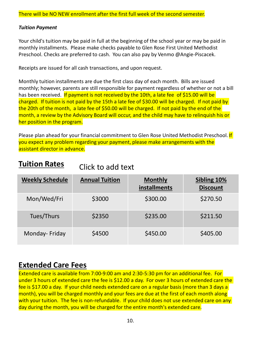### *Tuition Payment*

Your child's tuition may be paid in full at the beginning of the school year or may be paid in monthly installments. Please make checks payable to Glen Rose First United Methodist Preschool. Checks are preferred to cash. You can also pay by Venmo @Angie-Piscacek.

Receipts are issued for all cash transactions, and upon request.

Monthly tuition installments are due the first class day of each month. Bills are issued monthly; however, parents are still responsible for payment regardless of whether or not a bill has been received. If payment is not received by the 10th, a late fee of \$15.00 will be charged. If tuition is not paid by the 15th a late fee of \$30.00 will be charged. If not paid by the 20th of the month, a late fee of \$50.00 will be charged. If not paid by the end of the month, a review by the Advisory Board will occur, and the child may have to relinquish his or her position in the program.

Please plan ahead for your financial commitment to Glen Rose United Methodist Preschool. If you expect any problem regarding your payment, please make arrangements with the assistant director in advance.

#### **Tuition Rates** Click to add text

| <b>Weekly Schedule</b> | <b>Annual Tuition</b> | <b>Monthly</b><br>installments | Sibling 10%<br><b>Discount</b> |
|------------------------|-----------------------|--------------------------------|--------------------------------|
| Mon/Wed/Fri            | \$3000                | \$300.00                       | \$270.50                       |
| Tues/Thurs             | \$2350                | \$235.00                       | \$211.50                       |
| Monday-Friday          | \$4500                | \$450.00                       | \$405.00                       |

### **Extended Care Fees**

Extended care is available from 7:00-9:00 am and 2:30-5:30 pm for an additional fee. For under 3 hours of extended care the fee is \$12.00 a day. For over 3 hours of extended care the fee is \$17.00 a day. If your child needs extended care on a regular basis (more than 3 days a month), you will be charged monthly and your fees are due at the first of each month along with your tuition. The fee is non-refundable. If your child does not use extended care on any day during the month, you will be charged for the entire month's extended care.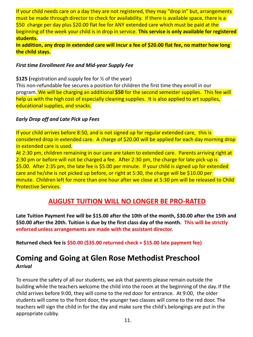If your child needs care on a day they are not registered, they may "drop in" but, arrangements must be made through director to check for availability. If there is available space, there is a \$50 charge per day plus \$20.00 flat fee for ANY extended care which must be paid at the beginning of the week your child is in drop in service. **This service is only available for registered students.**

**In addition, any drop in extended care will incur a fee of \$20.00 flat fee, no matter how long the child stays.**

#### *First time Enrollment Fee and Mid-year Supply Fee*

**\$125 (**registration and supply fee for ½ of the year) This non-refundable fee secures a position for children the first time they enroll in our program. We will be charging an additional **\$50** for the second semester supplies. This fee will help us with the high cost of especially cleaning supplies. It is also applied to art supplies, educational supplies, and snacks.

#### *Early Drop off and Late Pick up Fees*

If your child arrives before 8:50, and is not signed up for regular extended care, this is considered drop in extended care. A charge of \$20.00 will be applied for each day morning drop in extended care is used.

At 2:30 pm, children remaining in our care are taken to extended care. Parents arriving right at 2:30 pm or before will not be charged a fee. After 2:30 pm, the charge for late pick-up is \$5.00. After 2:35 pm, the late fee is \$5.00 per minute. If your child is signed up for extended care and he/she is not picked up before, or right at 5:30, the charge will be \$10.00 per minute. Children left for more than one hour after we close at 5:30 pm will be released to Child Protective Services.

### **AUGUST TUITION WILL NO LONGER BE PRO-RATED**

**Late Tuition Payment Fee will be \$15.00 after the 10th of the month, \$30.00 after the 15th and \$50.00 after the 20th. Tuition is due by the first class day of the month. This will be strictly enforced unless arrangements are made with the assistant director.**

**Returned check fee is \$50.00 (\$35.00 returned check + \$15.00 late payment fee)**

### **Coming and Going at Glen Rose Methodist Preschool** *Arrival*

To ensure the safety of all our students, we ask that parents please remain outside the building while the teachers welcome the child into the room at the beginning of the day. If the child arrives before 9:00, they will come to the red door for entrance. At 9:00, the older students will come to the front door, the younger two classes will come to the red door. The teachers will sign the child in for the day and make sure the child's belongings are put in the appropriate cubby.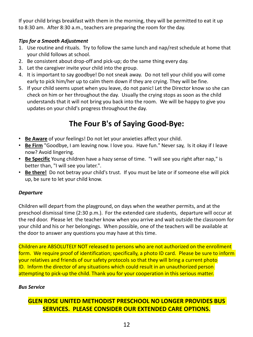If your child brings breakfast with them in the morning, they will be permitted to eat it up to 8:30 am. After 8:30 a.m., teachers are preparing the room for the day.

### *Tips for a Smooth Adjustment*

- 1. Use routine and rituals. Try to follow the same lunch and nap/rest schedule at home that your child follows at school.
- 2. Be consistent about drop-off and pick-up; do the same thing every day.
- 3. Let the caregiver invite your child into the group.
- 4. It is important to say goodbye! Do not sneak away. Do not tell your child you will come early to pick him/her up to calm them down if they are crying. They will be fine.
- 5. If your child seems upset when you leave, do not panic! Let the Director know so she can check on him or her throughout the day. Usually the crying stops as soon as the child understands that it will not bring you back into the room. We will be happy to give you updates on your child's progress throughout the day.

# **The Four B's of Saying Good-Bye:**

- **Be Aware** of your feelings! Do not let your anxieties affect your child.
- **Be Firm** "Goodbye, I am leaving now. I love you. Have fun." Never say, Is it okay if I leave now? Avoid lingering.
- **Be Specific** Young children have a hazy sense of time. "I will see you right after nap," is better than, "I will see you later.".
- **Be there!** Do not betray your child's trust. If you must be late or if someone else will pick up, be sure to let your child know.

### *Departure*

Children will depart from the playground, on days when the weather permits, and at the preschool dismissal time (2:30 p.m.). For the extended care students, departure will occur at the red door. Please let the teacher know when you arrive and wait outside the classroom for your child and his or her belongings. When possible, one of the teachers will be available at the door to answer any questions you may have at this time.

Children are ABSOLUTELY NOT released to persons who are not authorized on the enrollment form. We require proof of identification; specifically, a photo ID card. Please be sure to inform your relatives and friends of our safety protocols so that they will bring a current photo ID. Inform the director of any situations which could result in an unauthorized person attempting to pick-up the child. Thank you for your cooperation in this serious matter.

### *Bus Service*

### **GLEN ROSE UNITED METHODIST PRESCHOOL NO LONGER PROVIDES BUS SERVICES. PLEASE CONSIDER OUR EXTENDED CARE OPTIONS.**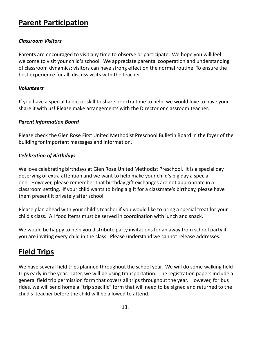### **Parent Participation**

#### *Classroom Visitors*

Parents are encouraged to visit any time to observe or participate. We hope you will feel welcome to visit your child's school. We appreciate parental cooperation and understanding of classroom dynamics; visitors can have strong effect on the normal routine. To ensure the best experience for all, discuss visits with the teacher.

#### *Volunteers*

*I*f you have a special talent or skill to share or extra time to help, we would love to have your share it with us! Please make arrangements with the Director or classroom teacher.

#### *Parent Information Board*

Please check the Glen Rose First United Methodist Preschool Bulletin Board in the foyer of the building for important messages and information.

#### *Celebration of Birthdays*

We love celebrating birthdays at Glen Rose United Methodist Preschool. It is a special day deserving of extra attention and we want to help make your child's big day a special one. However, please remember that birthday gift exchanges are not appropriate in a classroom setting. If your child wants to bring a gift for a classmate's birthday, please have them present it privately after school.

Please plan ahead with your child's teacher if you would like to bring a special treat for your child's class. All food items must be served in coordination with lunch and snack.

We would be happy to help you distribute party invitations for an away from school party if you are inviting every child in the class. Please understand we cannot release addresses.

### **Field Trips**

We have several field trips planned throughout the school year. We will do some walking field trips early in the year. Later, we will be using transportation. The registration papers include a general field trip permission form that covers all trips throughout the year. However, for bus rides, we will send home a "trip specific" form that will need to be signed and returned to the child's teacher before the child will be allowed to attend.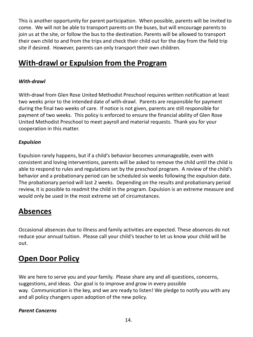This is another opportunity for parent participation. When possible, parents will be invited to come. We will not be able to transport parents on the buses, but will encourage parents to join us at the site, or follow the bus to the destination. Parents will be allowed to transport their own child to and from the trips and check their child out for the day from the field trip site if desired. However, parents can only transport their own children.

# **With-drawl or Expulsion from the Program**

### *With-drawl*

With-drawl from Glen Rose United Methodist Preschool requires written notification at least two weeks prior to the intended date of with-drawl. Parents are responsible for payment during the final two weeks of care. If notice is not given, parents are still responsible for payment of two weeks. This policy is enforced to ensure the financial ability of Glen Rose United Methodist Preschool to meet payroll and material requests. Thank you for your cooperation in this matter.

### *Expulsion*

Expulsion rarely happens, but if a child's behavior becomes unmanageable, even with consistent and loving interventions, parents will be asked to remove the child until the child is able to respond to rules and regulations set by the preschool program. A review of the child's behavior and a probationary period can be scheduled six weeks following the expulsion date. The probationary period will last 2 weeks. Depending on the results and probationary period review, it is possible to readmit the child in the program. Expulsion is an extreme measure and would only be used in the most extreme set of circumstances.

### **Absences**

Occasional absences due to illness and family activities are expected. These absences do not reduce your annual tuition. Please call your child's teacher to let us know your child will be out.

## **Open Door Policy**

We are here to serve you and your family. Please share any and all questions, concerns, suggestions, and ideas. Our goal is to improve and grow in every possible way. Communication is the key, and we are ready to listen! We pledge to notify you with any and all policy changers upon adoption of the new policy.

### *Parent Concerns*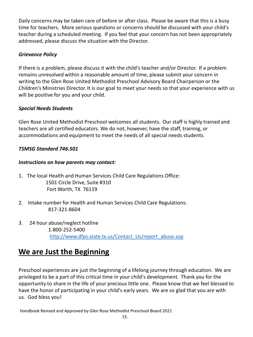Daily concerns may be taken care of before or after class. Please be aware that this is a busy time for teachers. More serious questions or concerns should be discussed with your child's teacher during a scheduled meeting. If you feel that your concern has not been appropriately addressed, please discuss the situation with the Director.

### *Grievance Policy*

If there is a problem, please discuss it with the child's teacher and/or Director. If a problem remains unresolved within a reasonable amount of time, please submit your concern in writing to the Glen Rose United Methodist Preschool Advisory Board Chairperson or the Children's Ministries Director. It is our goal to meet your needs so that your experience with us will be positive for you and your child.

### *Special Needs Students*

Glen Rose United Methodist Preschool welcomes all students. Our staff is highly trained and teachers are all certified educators. We do not, however, have the staff, training, or accommodations and equipment to meet the needs of all special needs students.

### *TSMSG Standard 746.501*

### *Instructions on how parents may contact:*

- 1. The local Health and Human Services Child Care Regulations Office: 1501 Circle Drive, Suite #310 Fort Worth, TX 76119
- 2. Intake number for Health and Human Services Child Care Regulations: 817-321-8604
- 3. 24 hour abuse/neglect hotline 1-800-252-5400 [http://www.dfps.state.tx.us/Contact\\_Us/report\\_abuse.asp](http://www.dfps.state.tx.us/Contact_Us/report_abuse.asp)

## **We are Just the Beginning**

Preschool experiences are just the beginning of a lifelong journey through education. We are privileged to be a part of this critical time in your child's development. Thank you for the opportunity to share in the life of your precious little one. Please know that we feel blessed to have the honor of participating in your child's early years. We are so glad that you are with us. God bless you!

Handbook Revised and Approved by Glen Rose Methodist Preschool Board 2021